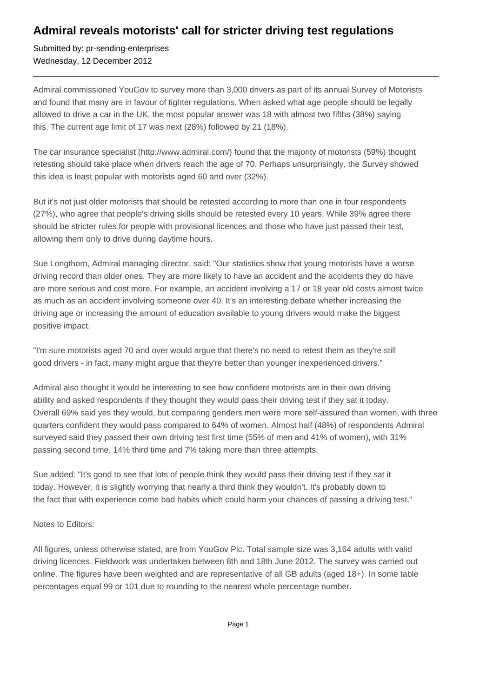## **Admiral reveals motorists' call for stricter driving test regulations**

Submitted by: pr-sending-enterprises Wednesday, 12 December 2012

Admiral commissioned YouGov to survey more than 3,000 drivers as part of its annual Survey of Motorists and found that many are in favour of tighter regulations. When asked what age people should be legally allowed to drive a car in the UK, the most popular answer was 18 with almost two fifths (38%) saying this. The current age limit of 17 was next (28%) followed by 21 (18%).

The car insurance specialist (http://www.admiral.com/) found that the majority of motorists (59%) thought retesting should take place when drivers reach the age of 70. Perhaps unsurprisingly, the Survey showed this idea is least popular with motorists aged 60 and over (32%).

But it's not just older motorists that should be retested according to more than one in four respondents (27%), who agree that people's driving skills should be retested every 10 years. While 39% agree there should be stricter rules for people with provisional licences and those who have just passed their test, allowing them only to drive during daytime hours.

Sue Longthorn, Admiral managing director, said: "Our statistics show that young motorists have a worse driving record than older ones. They are more likely to have an accident and the accidents they do have are more serious and cost more. For example, an accident involving a 17 or 18 year old costs almost twice as much as an accident involving someone over 40. It's an interesting debate whether increasing the driving age or increasing the amount of education available to young drivers would make the biggest positive impact.

"I'm sure motorists aged 70 and over would argue that there's no need to retest them as they're still good drivers - in fact, many might argue that they're better than younger inexperienced drivers."

Admiral also thought it would be interesting to see how confident motorists are in their own driving ability and asked respondents if they thought they would pass their driving test if they sat it today. Overall 69% said yes they would, but comparing genders men were more self-assured than women, with three quarters confident they would pass compared to 64% of women. Almost half (48%) of respondents Admiral surveyed said they passed their own driving test first time (55% of men and 41% of women), with 31% passing second time, 14% third time and 7% taking more than three attempts.

Sue added: "It's good to see that lots of people think they would pass their driving test if they sat it today. However, it is slightly worrying that nearly a third think they wouldn't. It's probably down to the fact that with experience come bad habits which could harm your chances of passing a driving test."

Notes to Editors:

All figures, unless otherwise stated, are from YouGov Plc. Total sample size was 3,164 adults with valid driving licences. Fieldwork was undertaken between 8th and 18th June 2012. The survey was carried out online. The figures have been weighted and are representative of all GB adults (aged 18+). In some table percentages equal 99 or 101 due to rounding to the nearest whole percentage number.